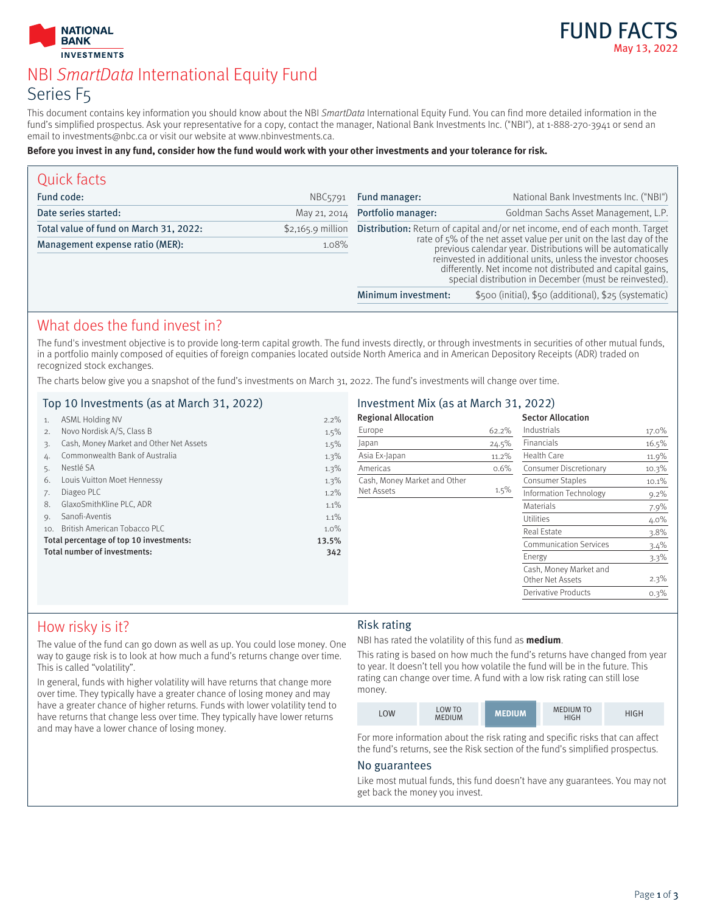



# NBI SmartData International Equity Fund Series F5

This document contains key information you should know about the NBI SmartData International Equity Fund. You can find more detailed information in the fund's simplified prospectus. Ask your representative for a copy, contact the manager, National Bank Investments Inc. ("NBI"), at 1-888-270-3941 or send an email to investments@nbc.ca or visit our website at www.nbinvestments.ca.

#### **Before you invest in any fund, consider how the fund would work with your other investments and your tolerance for risk.**

| Quick facts                            |                     |                                                                                                                                                                                                                                                                                                                                                                                                                |                                                       |
|----------------------------------------|---------------------|----------------------------------------------------------------------------------------------------------------------------------------------------------------------------------------------------------------------------------------------------------------------------------------------------------------------------------------------------------------------------------------------------------------|-------------------------------------------------------|
| Fund code:                             | NBC <sub>5791</sub> | Fund manager:                                                                                                                                                                                                                                                                                                                                                                                                  | National Bank Investments Inc. ("NBI")                |
| Date series started:                   | May 21, 2014        | Portfolio manager:                                                                                                                                                                                                                                                                                                                                                                                             | Goldman Sachs Asset Management, L.P.                  |
| Total value of fund on March 31, 2022: | $$2,165.9$ million  | <b>Distribution:</b> Return of capital and/or net income, end of each month. Target<br>rate of 5% of the net asset value per unit on the last day of the<br>previous calendar year. Distributions will be automatically<br>reinvested in additional units, unless the investor chooses<br>differently. Net income not distributed and capital gains,<br>special distribution in December (must be reinvested). |                                                       |
| Management expense ratio (MER):        | 1.08%               |                                                                                                                                                                                                                                                                                                                                                                                                                |                                                       |
|                                        |                     | Minimum investment:                                                                                                                                                                                                                                                                                                                                                                                            | \$500 (initial), \$50 (additional), \$25 (systematic) |

## What does the fund invest in?

The fund's investment objective is to provide long-term capital growth. The fund invests directly, or through investments in securities of other mutual funds, in a portfolio mainly composed of equities of foreign companies located outside North America and in American Depository Receipts (ADR) traded on recognized stock exchanges.

The charts below give you a snapshot of the fund's investments on March 31, 2022. The fund's investments will change over time.

### Top 10 Investments (as at March 31, 2022)

| 1.  | ASML Holding NV                         | 2.2%  |
|-----|-----------------------------------------|-------|
| 2.  | Novo Nordisk A/S, Class B               | 1.5%  |
| 3.  | Cash, Money Market and Other Net Assets | 1.5%  |
| 4.  | Commonwealth Bank of Australia          | 1.3%  |
| 5.  | Nestlé SA                               | 1.3%  |
| 6.  | Louis Vuitton Moet Hennessy             | 1.3%  |
| 7.  | Diageo PLC                              | 1.2%  |
| 8.  | GlaxoSmithKline PLC, ADR                | 1.1%  |
| 9.  | Sanofi-Aventis                          | 1.1%  |
| 10. | British American Tobacco PLC            | 1.0%  |
|     | Total percentage of top 10 investments: | 13.5% |
|     | Total number of investments:            | 342   |
|     |                                         |       |
|     |                                         |       |

### Investment Mix (as at March 31, 2022)

| <b>Regional Allocation</b>   |       | <b>Sector Allocation</b>                   |         |
|------------------------------|-------|--------------------------------------------|---------|
| Europe                       | 62.2% | Industrials                                | 17.0%   |
| Japan                        | 24.5% | Financials                                 | 16.5%   |
| Asia Ex-Japan                | 11.2% | Health Care                                | 11.9%   |
| Americas                     | 0.6%  | Consumer Discretionary                     | 10.3%   |
| Cash, Money Market and Other |       | Consumer Staples                           | 10.1%   |
| Net Assets                   | 1.5%  | Information Technology                     | $9.2\%$ |
|                              |       | Materials                                  | 7.9%    |
|                              |       | Utilities                                  | $4.0\%$ |
|                              |       | Real Estate                                | $3.8\%$ |
|                              |       | <b>Communication Services</b>              | 3.4%    |
|                              |       | Energy                                     | $3.3\%$ |
|                              |       | Cash, Money Market and<br>Other Net Assets | 2.3%    |
|                              |       | Derivative Products                        | 0.3%    |

## How risky is it?

The value of the fund can go down as well as up. You could lose money. One way to gauge risk is to look at how much a fund's returns change over time. This is called "volatility".

In general, funds with higher volatility will have returns that change more over time. They typically have a greater chance of losing money and may have a greater chance of higher returns. Funds with lower volatility tend to have returns that change less over time. They typically have lower returns and may have a lower chance of losing money.

### Risk rating

NBI has rated the volatility of this fund as **medium**.

This rating is based on how much the fund's returns have changed from year to year. It doesn't tell you how volatile the fund will be in the future. This rating can change over time. A fund with a low risk rating can still lose money.

| LOW | <b>LOW TO</b><br><b>MEDIUM</b> | <b>MEDIUM</b> | <b>MEDIUM TO</b><br><b>HIGH</b> | HIGH |
|-----|--------------------------------|---------------|---------------------------------|------|
|-----|--------------------------------|---------------|---------------------------------|------|

For more information about the risk rating and specific risks that can affect the fund's returns, see the Risk section of the fund's simplified prospectus.

#### No guarantees

Like most mutual funds, this fund doesn't have any guarantees. You may not get back the money you invest.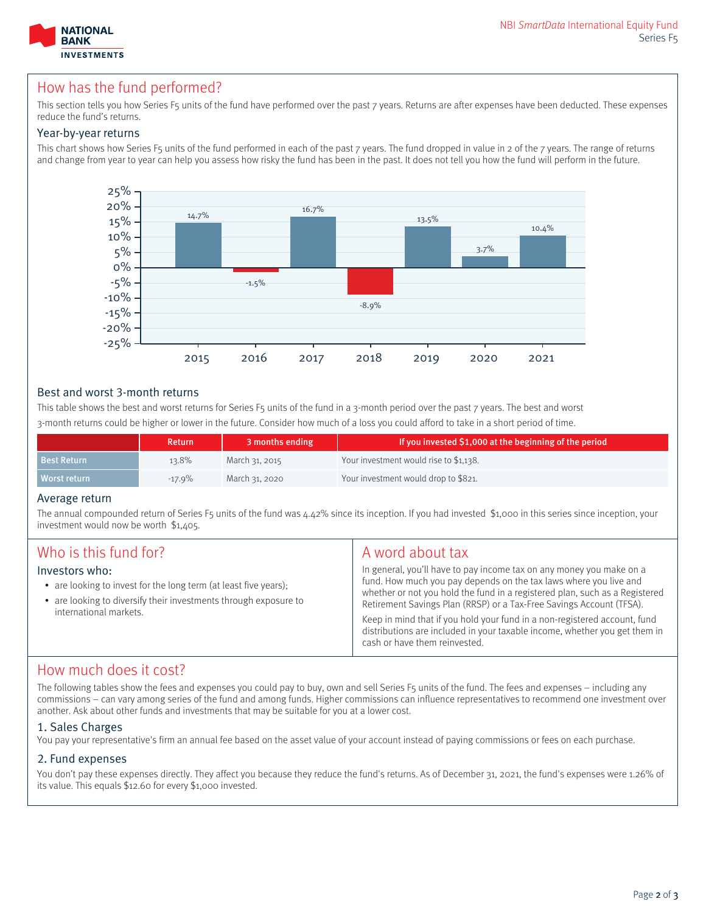

## How has the fund performed?

This section tells vou how Series F5 units of the fund have performed over the past 7 years. Returns are after expenses have been deducted. These expenses reduce the fund's returns.

### Year-by-year returns

This chart shows how Series F5 units of the fund performed in each of the past 7 years. The fund dropped in value in 2 of the 7 years. The range of returns and change from year to year can help you assess how risky the fund has been in the past. It does not tell you how the fund will perform in the future.



### Best and worst 3-month returns

This table shows the best and worst returns for Series F5 units of the fund in a 3-month period over the past 7 years. The best and worst 3-month returns could be higher or lower in the future. Consider how much of a loss you could afford to take in a short period of time.

|                    | <b>Return</b> | 3 months ending | If you invested \$1,000 at the beginning of the period |
|--------------------|---------------|-----------------|--------------------------------------------------------|
| <b>Best Return</b> | 13.8%         | March 31, 2015  | Your investment would rise to \$1,138.                 |
| Worst return       | $-17.9\%$     | March 31, 2020  | Your investment would drop to \$821.                   |

#### Average return

The annual compounded return of Series F5 units of the fund was 4.42% since its inception. If you had invested \$1,000 in this series since inception, your investment would now be worth \$1,405.

| Who is this fund for?<br>Investors who:<br>• are looking to invest for the long term (at least five years);<br>• are looking to diversify their investments through exposure to<br>international markets. | A word about tax<br>In general, you'll have to pay income tax on any money you make on a<br>fund. How much you pay depends on the tax laws where you live and<br>whether or not you hold the fund in a registered plan, such as a Registered<br>Retirement Savings Plan (RRSP) or a Tax-Free Savings Account (TFSA).<br>Keep in mind that if you hold your fund in a non-registered account, fund<br>distributions are included in your taxable income, whether you get them in<br>cash or have them reinvested. |
|-----------------------------------------------------------------------------------------------------------------------------------------------------------------------------------------------------------|------------------------------------------------------------------------------------------------------------------------------------------------------------------------------------------------------------------------------------------------------------------------------------------------------------------------------------------------------------------------------------------------------------------------------------------------------------------------------------------------------------------|
|-----------------------------------------------------------------------------------------------------------------------------------------------------------------------------------------------------------|------------------------------------------------------------------------------------------------------------------------------------------------------------------------------------------------------------------------------------------------------------------------------------------------------------------------------------------------------------------------------------------------------------------------------------------------------------------------------------------------------------------|

### How much does it cost?

The following tables show the fees and expenses you could pay to buy, own and sell Series F5 units of the fund. The fees and expenses – including any commissions – can vary among series of the fund and among funds. Higher commissions can influence representatives to recommend one investment over another. Ask about other funds and investments that may be suitable for you at a lower cost.

#### 1. Sales Charges

You pay your representative's firm an annual fee based on the asset value of your account instead of paying commissions or fees on each purchase.

### 2. Fund expenses

You don't pay these expenses directly. They affect you because they reduce the fund's returns. As of December 31, 2021, the fund's expenses were 1.26% of its value. This equals \$12.60 for every \$1,000 invested.